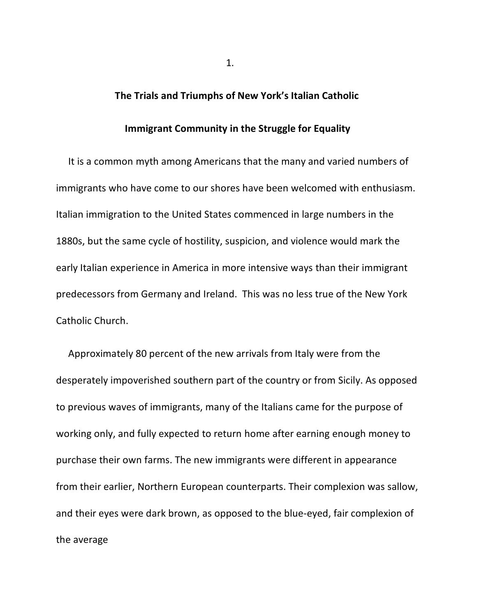## **The Trials and Triumphs of New York's Italian Catholic**

## **Immigrant Community in the Struggle for Equality**

 It is a common myth among Americans that the many and varied numbers of immigrants who have come to our shores have been welcomed with enthusiasm. Italian immigration to the United States commenced in large numbers in the 1880s, but the same cycle of hostility, suspicion, and violence would mark the early Italian experience in America in more intensive ways than their immigrant predecessors from Germany and Ireland. This was no less true of the New York Catholic Church.

 Approximately 80 percent of the new arrivals from Italy were from the desperately impoverished southern part of the country or from Sicily. As opposed to previous waves of immigrants, many of the Italians came for the purpose of working only, and fully expected to return home after earning enough money to purchase their own farms. The new immigrants were different in appearance from their earlier, Northern European counterparts. Their complexion was sallow, and their eyes were dark brown, as opposed to the blue-eyed, fair complexion of the average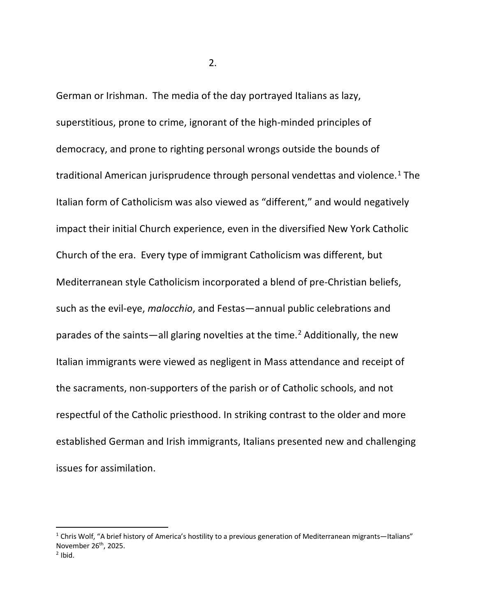German or Irishman. The media of the day portrayed Italians as lazy, superstitious, prone to crime, ignorant of the high-minded principles of democracy, and prone to righting personal wrongs outside the bounds of traditional American jurisprudence through personal vendettas and violence.<sup>[1](#page-1-0)</sup> The Italian form of Catholicism was also viewed as "different," and would negatively impact their initial Church experience, even in the diversified New York Catholic Church of the era. Every type of immigrant Catholicism was different, but Mediterranean style Catholicism incorporated a blend of pre-Christian beliefs, such as the evil-eye, *malocchio*, and Festas—annual public celebrations and parades of the saints—all glaring novelties at the time.<sup>[2](#page-1-1)</sup> Additionally, the new Italian immigrants were viewed as negligent in Mass attendance and receipt of the sacraments, non-supporters of the parish or of Catholic schools, and not respectful of the Catholic priesthood. In striking contrast to the older and more established German and Irish immigrants, Italians presented new and challenging issues for assimilation.

<span id="page-1-1"></span><span id="page-1-0"></span> $1$  Chris Wolf, "A brief history of America's hostility to a previous generation of Mediterranean migrants—Italians" November 26th, 2025.  $2$  Ibid.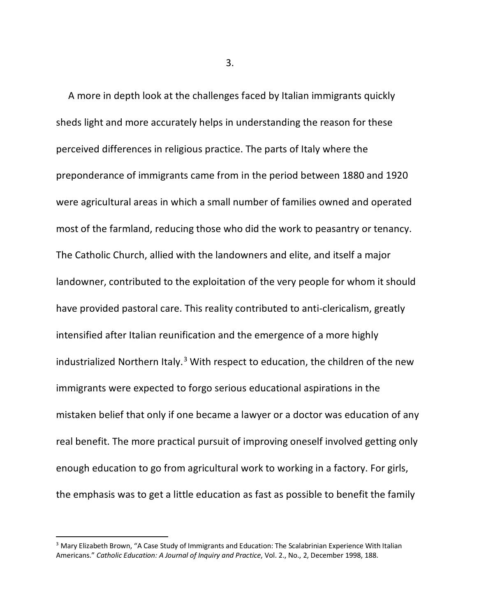A more in depth look at the challenges faced by Italian immigrants quickly sheds light and more accurately helps in understanding the reason for these perceived differences in religious practice. The parts of Italy where the preponderance of immigrants came from in the period between 1880 and 1920 were agricultural areas in which a small number of families owned and operated most of the farmland, reducing those who did the work to peasantry or tenancy. The Catholic Church, allied with the landowners and elite, and itself a major landowner, contributed to the exploitation of the very people for whom it should have provided pastoral care. This reality contributed to anti-clericalism, greatly intensified after Italian reunification and the emergence of a more highly industrialized Northern Italy. $3$  With respect to education, the children of the new immigrants were expected to forgo serious educational aspirations in the mistaken belief that only if one became a lawyer or a doctor was education of any real benefit. The more practical pursuit of improving oneself involved getting only enough education to go from agricultural work to working in a factory. For girls, the emphasis was to get a little education as fast as possible to benefit the family

 $3.$ 

<span id="page-2-0"></span><sup>&</sup>lt;sup>3</sup> Mary Elizabeth Brown, "A Case Study of Immigrants and Education: The Scalabrinian Experience With Italian Americans." *Catholic Education: A Journal of Inquiry and Practice*, Vol. 2., No., 2, December 1998, 188.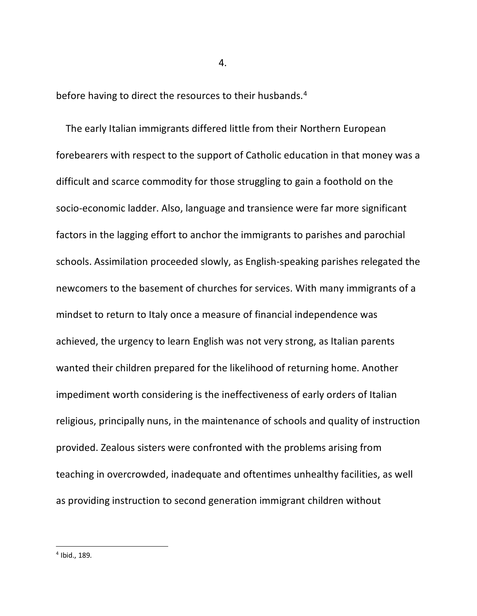before having to direct the resources to their husbands.<sup>[4](#page-3-0)</sup>

<span id="page-3-0"></span> The early Italian immigrants differed little from their Northern European forebearers with respect to the support of Catholic education in that money was a difficult and scarce commodity for those struggling to gain a foothold on the socio-economic ladder. Also, language and transience were far more significant factors in the lagging effort to anchor the immigrants to parishes and parochial schools. Assimilation proceeded slowly, as English-speaking parishes relegated the newcomers to the basement of churches for services. With many immigrants of a mindset to return to Italy once a measure of financial independence was achieved, the urgency to learn English was not very strong, as Italian parents wanted their children prepared for the likelihood of returning home. Another impediment worth considering is the ineffectiveness of early orders of Italian religious, principally nuns, in the maintenance of schools and quality of instruction provided. Zealous sisters were confronted with the problems arising from teaching in overcrowded, inadequate and oftentimes unhealthy facilities, as well as providing instruction to second generation immigrant children without

4.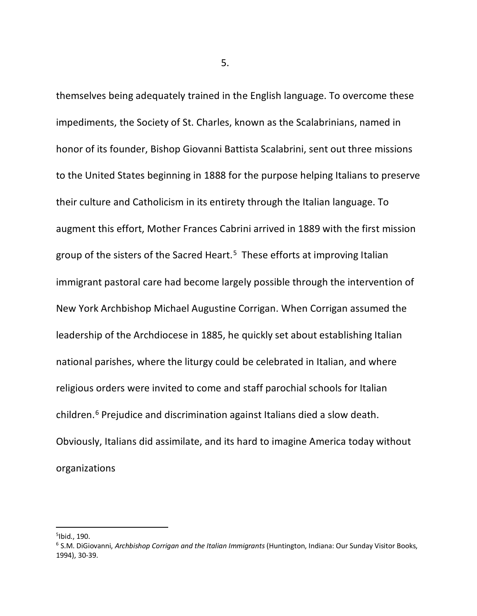themselves being adequately trained in the English language. To overcome these impediments, the Society of St. Charles, known as the Scalabrinians, named in honor of its founder, Bishop Giovanni Battista Scalabrini, sent out three missions to the United States beginning in 1888 for the purpose helping Italians to preserve their culture and Catholicism in its entirety through the Italian language. To augment this effort, Mother Frances Cabrini arrived in 1889 with the first mission group of the sisters of the Sacred Heart.<sup>[5](#page-4-0)</sup> These efforts at improving Italian immigrant pastoral care had become largely possible through the intervention of New York Archbishop Michael Augustine Corrigan. When Corrigan assumed the leadership of the Archdiocese in 1885, he quickly set about establishing Italian national parishes, where the liturgy could be celebrated in Italian, and where religious orders were invited to come and staff parochial schools for Italian children.[6](#page-4-1) Prejudice and discrimination against Italians died a slow death. Obviously, Italians did assimilate, and its hard to imagine America today without organizations

 $5.5<sub>2</sub>$ 

<span id="page-4-0"></span><sup>5</sup> Ibid., 190.

<span id="page-4-1"></span><sup>6</sup> S.M. DiGiovanni, *Archbishop Corrigan and the Italian Immigrants* (Huntington, Indiana: Our Sunday Visitor Books, 1994), 30-39.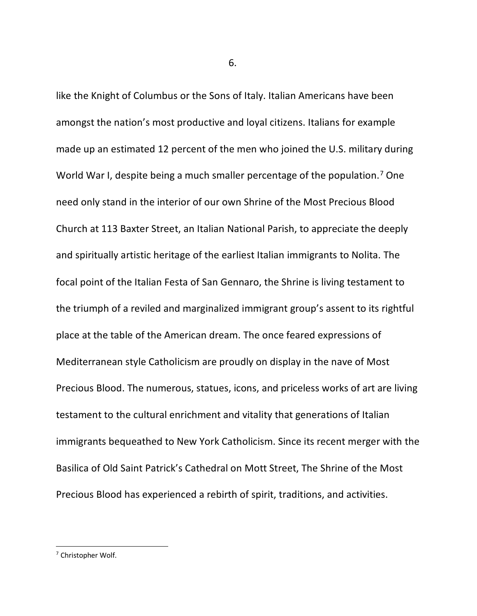like the Knight of Columbus or the Sons of Italy. Italian Americans have been amongst the nation's most productive and loyal citizens. Italians for example made up an estimated 12 percent of the men who joined the U.S. military during World War I, despite being a much smaller percentage of the population.<sup>[7](#page-5-0)</sup> One need only stand in the interior of our own Shrine of the Most Precious Blood Church at 113 Baxter Street, an Italian National Parish, to appreciate the deeply and spiritually artistic heritage of the earliest Italian immigrants to Nolita. The focal point of the Italian Festa of San Gennaro, the Shrine is living testament to the triumph of a reviled and marginalized immigrant group's assent to its rightful place at the table of the American dream. The once feared expressions of Mediterranean style Catholicism are proudly on display in the nave of Most Precious Blood. The numerous, statues, icons, and priceless works of art are living testament to the cultural enrichment and vitality that generations of Italian immigrants bequeathed to New York Catholicism. Since its recent merger with the Basilica of Old Saint Patrick's Cathedral on Mott Street, The Shrine of the Most Precious Blood has experienced a rebirth of spirit, traditions, and activities.

 $\overline{\phantom{a}}$  6.

<span id="page-5-0"></span><sup>7</sup> Christopher Wolf.